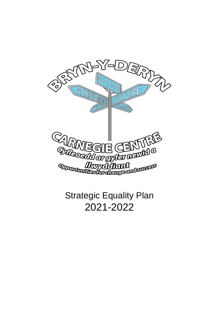

Strategic Equality Plan 2021-2022